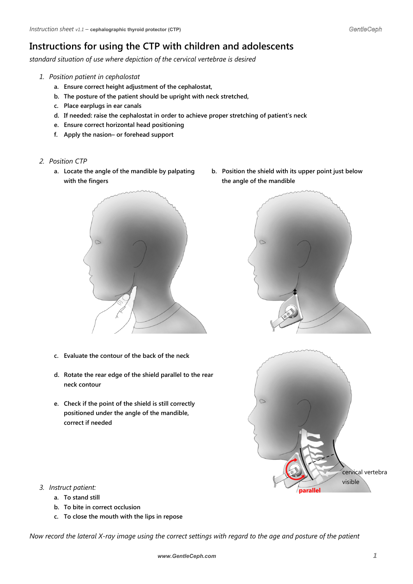## **Instructions for using the CTP with children and adolescents**

*standard situation of use where depiction of the cervical vertebrae is desired*

- *1. Position patient in cephalostat*
	- **a. Ensure correct height adjustment of the cephalostat,**
	- **b. The posture of the patient should be upright with neck stretched,**
	- **c. Place earplugs in ear canals**
	- **d. If needed: raise the cephalostat in order to achieve proper stretching of patient's neck**
	- **e. Ensure correct horizontal head positioning**
	- **f. Apply the nasion– or forehead support**
- *2. Position CTP*
	- with the fingers **the angle of the mandible**



- **c. Evaluate the contour of the back of the neck**
- **d. Rotate the rear edge of the shield parallel to the rear neck contour**
- **e. Check if the point of the shield is still correctly positioned under the angle of the mandible, correct if needed**

**a. Locate the angle of the mandible by palpating b. Position the shield with its upper point just below**





- *3. Instruct patient:*
	- **a. To stand still**
	- **b. To bite in correct occlusion**
	- **c. To close the mouth with the lips in repose**

*Now record the lateral X-ray image using the correct settings with regard to the age and posture of the patient*